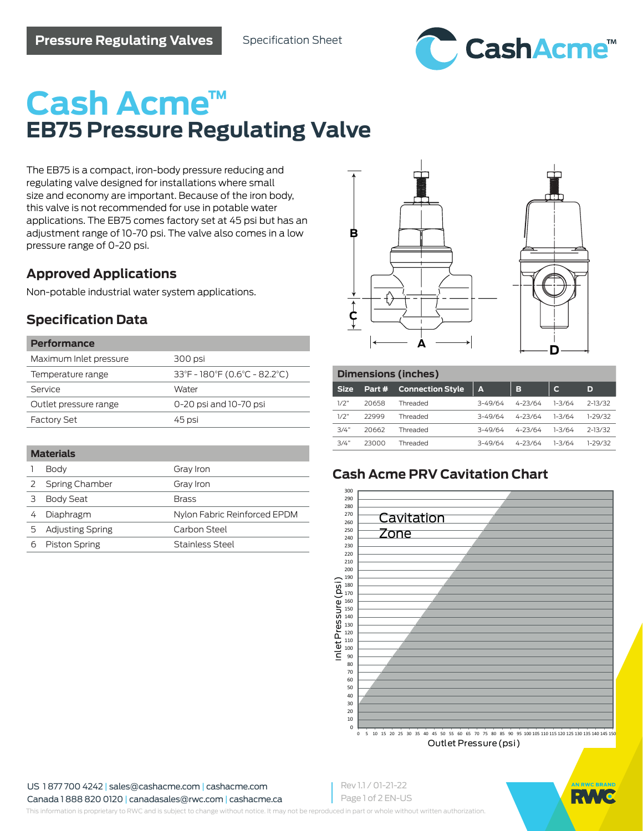

# **Cash Acme™ EB75 Pressure Regulating Valve**

The EB75 is a compact, iron-body pressure reducing and regulating valve designed for installations where small size and economy are important. Because of the iron body, this valve is not recommended for use in potable water applications. The EB75 comes factory set at 45 psi but has an adjustment range of 10-70 psi. The valve also comes in a low pressure range of 0-20 psi.

## **Approved Applications**

Non-potable industrial water system applications.

## **Specification Data**

| Performance            |                               |
|------------------------|-------------------------------|
| Maximum Inlet pressure | 300 psi                       |
| Temperature range      | 33°F - 180°F (0.6°C - 82.2°C) |
| Service                | Water                         |
| Outlet pressure range  | 0-20 psi and 10-70 psi        |
| <b>Factory Set</b>     | 45 psi                        |

#### **Materials**

|   | Body                 | Gray Iron                    |  |  |
|---|----------------------|------------------------------|--|--|
|   | Spring Chamber       | Gray Iron                    |  |  |
| 3 | <b>Body Seat</b>     | <b>Brass</b>                 |  |  |
|   | Diaphragm            | Nylon Fabric Reinforced EPDM |  |  |
|   | 5 Adjusting Spring   | Carbon Steel                 |  |  |
|   | <b>Piston Spring</b> | Stainless Steel              |  |  |





| Dimensions (inches) |        |                         |             |             |        |             |  |  |
|---------------------|--------|-------------------------|-------------|-------------|--------|-------------|--|--|
| <b>Size</b>         | Part # | <b>Connection Style</b> | I A         | в           | С      | D           |  |  |
| 1/2"                | 20658  | Threaded                | $3 - 49/64$ | $4 - 23/64$ | 1-3/64 | $2 - 13/32$ |  |  |
| 1/2"                | 22999  | Threaded                | $3 - 49/64$ | $4 - 23/64$ | 1-3/64 | $1-29/32$   |  |  |
| 3/4"                | 20662  | Threaded                | $3 - 49/64$ | $4 - 23/64$ | 1-3/64 | $2 - 13/32$ |  |  |
| 3/4"                | 23000  | Threaded                | $3 - 49/64$ | $4 - 23/64$ | 1-3/64 | 1-29/32     |  |  |

## **Cash Acme PRV Cavitation Chart**



US 1 877 700 4242 | sales@cashacme.com | cashacme.com

Canada 1 888 820 0120 | canadasales@rwc.com | cashacme.ca

Rev 1.1 / 01-21-22 Page 1 of 2 EN-US



This information is proprietary to RWC and is subject to change without notice. It may not be reproduced in part or whole without written authorization.